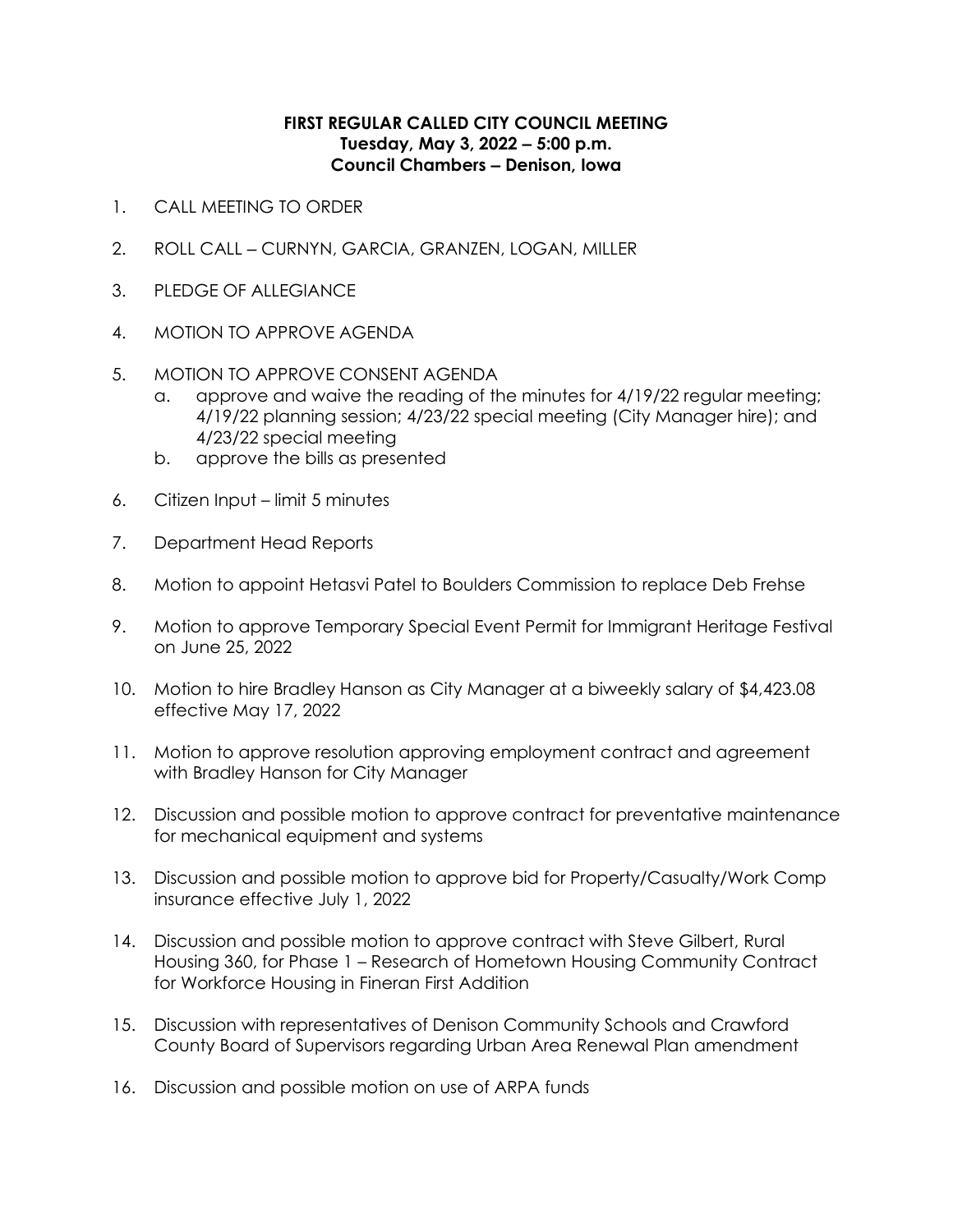## **FIRST REGULAR CALLED CITY COUNCIL MEETING Tuesday, May 3, 2022 ‒ 5:00 p.m. Council Chambers ‒ Denison, Iowa**

- 1. CALL MEETING TO ORDER
- 2. ROLL CALL CURNYN, GARCIA, GRANZEN, LOGAN, MILLER
- 3. PLEDGE OF ALLEGIANCE
- 4. MOTION TO APPROVE AGENDA
- 5. MOTION TO APPROVE CONSENT AGENDA
	- a. approve and waive the reading of the minutes for 4/19/22 regular meeting; 4/19/22 planning session; 4/23/22 special meeting (City Manager hire); and 4/23/22 special meeting
	- b. approve the bills as presented
- 6. Citizen Input limit 5 minutes
- 7. Department Head Reports
- 8. Motion to appoint Hetasvi Patel to Boulders Commission to replace Deb Frehse
- 9. Motion to approve Temporary Special Event Permit for Immigrant Heritage Festival on June 25, 2022
- 10. Motion to hire Bradley Hanson as City Manager at a biweekly salary of \$4,423.08 effective May 17, 2022
- 11. Motion to approve resolution approving employment contract and agreement with Bradley Hanson for City Manager
- 12. Discussion and possible motion to approve contract for preventative maintenance for mechanical equipment and systems
- 13. Discussion and possible motion to approve bid for Property/Casualty/Work Comp insurance effective July 1, 2022
- 14. Discussion and possible motion to approve contract with Steve Gilbert, Rural Housing 360, for Phase 1 – Research of Hometown Housing Community Contract for Workforce Housing in Fineran First Addition
- 15. Discussion with representatives of Denison Community Schools and Crawford County Board of Supervisors regarding Urban Area Renewal Plan amendment
- 16. Discussion and possible motion on use of ARPA funds